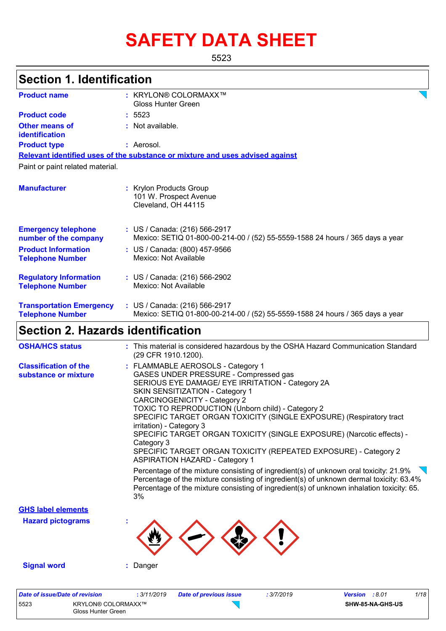# **SAFETY DATA SHEET**

5523

| <b>Section 1. Identification</b>                                           |                                                                                                                                                                                                                                                                                                                                                                                                                                                                                                                                                                                                                                                                                                                                                                                                                                                            |
|----------------------------------------------------------------------------|------------------------------------------------------------------------------------------------------------------------------------------------------------------------------------------------------------------------------------------------------------------------------------------------------------------------------------------------------------------------------------------------------------------------------------------------------------------------------------------------------------------------------------------------------------------------------------------------------------------------------------------------------------------------------------------------------------------------------------------------------------------------------------------------------------------------------------------------------------|
| <b>Product name</b>                                                        | : KRYLON® COLORMAXX™<br><b>Gloss Hunter Green</b>                                                                                                                                                                                                                                                                                                                                                                                                                                                                                                                                                                                                                                                                                                                                                                                                          |
| <b>Product code</b>                                                        | : 5523                                                                                                                                                                                                                                                                                                                                                                                                                                                                                                                                                                                                                                                                                                                                                                                                                                                     |
| <b>Other means of</b><br>identification                                    | : Not available.                                                                                                                                                                                                                                                                                                                                                                                                                                                                                                                                                                                                                                                                                                                                                                                                                                           |
| <b>Product type</b>                                                        | : Aerosol.                                                                                                                                                                                                                                                                                                                                                                                                                                                                                                                                                                                                                                                                                                                                                                                                                                                 |
|                                                                            | Relevant identified uses of the substance or mixture and uses advised against                                                                                                                                                                                                                                                                                                                                                                                                                                                                                                                                                                                                                                                                                                                                                                              |
| Paint or paint related material.                                           |                                                                                                                                                                                                                                                                                                                                                                                                                                                                                                                                                                                                                                                                                                                                                                                                                                                            |
| <b>Manufacturer</b>                                                        | : Krylon Products Group<br>101 W. Prospect Avenue<br>Cleveland, OH 44115                                                                                                                                                                                                                                                                                                                                                                                                                                                                                                                                                                                                                                                                                                                                                                                   |
| <b>Emergency telephone</b><br>number of the company                        | : US / Canada: (216) 566-2917<br>Mexico: SETIQ 01-800-00-214-00 / (52) 55-5559-1588 24 hours / 365 days a year                                                                                                                                                                                                                                                                                                                                                                                                                                                                                                                                                                                                                                                                                                                                             |
| <b>Product Information</b><br><b>Telephone Number</b>                      | : US / Canada: (800) 457-9566<br>Mexico: Not Available                                                                                                                                                                                                                                                                                                                                                                                                                                                                                                                                                                                                                                                                                                                                                                                                     |
| <b>Regulatory Information</b><br><b>Telephone Number</b>                   | : US / Canada: (216) 566-2902<br>Mexico: Not Available                                                                                                                                                                                                                                                                                                                                                                                                                                                                                                                                                                                                                                                                                                                                                                                                     |
| <b>Transportation Emergency</b><br><b>Telephone Number</b>                 | : US / Canada: (216) 566-2917<br>Mexico: SETIQ 01-800-00-214-00 / (52) 55-5559-1588 24 hours / 365 days a year                                                                                                                                                                                                                                                                                                                                                                                                                                                                                                                                                                                                                                                                                                                                             |
| <b>Section 2. Hazards identification</b>                                   |                                                                                                                                                                                                                                                                                                                                                                                                                                                                                                                                                                                                                                                                                                                                                                                                                                                            |
| <b>OSHA/HCS status</b>                                                     | : This material is considered hazardous by the OSHA Hazard Communication Standard<br>(29 CFR 1910.1200).                                                                                                                                                                                                                                                                                                                                                                                                                                                                                                                                                                                                                                                                                                                                                   |
| <b>Classification of the</b><br>substance or mixture                       | : FLAMMABLE AEROSOLS - Category 1<br>GASES UNDER PRESSURE - Compressed gas<br>SERIOUS EYE DAMAGE/ EYE IRRITATION - Category 2A<br>SKIN SENSITIZATION - Category 1<br><b>CARCINOGENICITY - Category 2</b><br>TOXIC TO REPRODUCTION (Unborn child) - Category 2<br>SPECIFIC TARGET ORGAN TOXICITY (SINGLE EXPOSURE) (Respiratory tract<br>irritation) - Category 3<br>SPECIFIC TARGET ORGAN TOXICITY (SINGLE EXPOSURE) (Narcotic effects) -<br>Category 3<br>SPECIFIC TARGET ORGAN TOXICITY (REPEATED EXPOSURE) - Category 2<br><b>ASPIRATION HAZARD - Category 1</b><br>Percentage of the mixture consisting of ingredient(s) of unknown oral toxicity: 21.9%<br>Percentage of the mixture consisting of ingredient(s) of unknown dermal toxicity: 63.4%<br>Percentage of the mixture consisting of ingredient(s) of unknown inhalation toxicity: 65.<br>3% |
| <b>GHS label elements</b>                                                  |                                                                                                                                                                                                                                                                                                                                                                                                                                                                                                                                                                                                                                                                                                                                                                                                                                                            |
| <b>Hazard pictograms</b>                                                   |                                                                                                                                                                                                                                                                                                                                                                                                                                                                                                                                                                                                                                                                                                                                                                                                                                                            |
| <b>Signal word</b>                                                         | Danger                                                                                                                                                                                                                                                                                                                                                                                                                                                                                                                                                                                                                                                                                                                                                                                                                                                     |
| <b>Date of issue/Date of revision</b><br>5523<br><b>KRYLON® COLORMAXX™</b> | 1/18<br>: 3/11/2019<br><b>Date of previous issue</b><br>: 3/7/2019<br>Version : 8.01<br>SHW-85-NA-GHS-US                                                                                                                                                                                                                                                                                                                                                                                                                                                                                                                                                                                                                                                                                                                                                   |

Gloss Hunter Green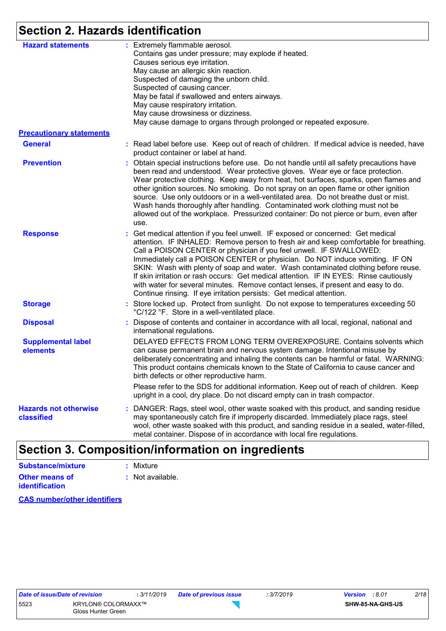# **Section 2. Hazards identification**

| <b>Hazard statements</b>                          | : Extremely flammable aerosol.<br>Contains gas under pressure; may explode if heated.<br>Causes serious eye irritation.<br>May cause an allergic skin reaction.<br>Suspected of damaging the unborn child.<br>Suspected of causing cancer.<br>May be fatal if swallowed and enters airways.<br>May cause respiratory irritation.<br>May cause drowsiness or dizziness.<br>May cause damage to organs through prolonged or repeated exposure.                                                                                                                                                                                                                                  |
|---------------------------------------------------|-------------------------------------------------------------------------------------------------------------------------------------------------------------------------------------------------------------------------------------------------------------------------------------------------------------------------------------------------------------------------------------------------------------------------------------------------------------------------------------------------------------------------------------------------------------------------------------------------------------------------------------------------------------------------------|
| <b>Precautionary statements</b><br><b>General</b> | : Read label before use. Keep out of reach of children. If medical advice is needed, have<br>product container or label at hand.                                                                                                                                                                                                                                                                                                                                                                                                                                                                                                                                              |
| <b>Prevention</b>                                 | : Obtain special instructions before use. Do not handle until all safety precautions have<br>been read and understood. Wear protective gloves. Wear eye or face protection.<br>Wear protective clothing. Keep away from heat, hot surfaces, sparks, open flames and<br>other ignition sources. No smoking. Do not spray on an open flame or other ignition<br>source. Use only outdoors or in a well-ventilated area. Do not breathe dust or mist.<br>Wash hands thoroughly after handling. Contaminated work clothing must not be<br>allowed out of the workplace. Pressurized container: Do not pierce or burn, even after<br>use.                                          |
| <b>Response</b>                                   | : Get medical attention if you feel unwell. IF exposed or concerned: Get medical<br>attention. IF INHALED: Remove person to fresh air and keep comfortable for breathing.<br>Call a POISON CENTER or physician if you feel unwell. IF SWALLOWED:<br>Immediately call a POISON CENTER or physician. Do NOT induce vomiting. IF ON<br>SKIN: Wash with plenty of soap and water. Wash contaminated clothing before reuse.<br>If skin irritation or rash occurs: Get medical attention. IF IN EYES: Rinse cautiously<br>with water for several minutes. Remove contact lenses, if present and easy to do.<br>Continue rinsing. If eye irritation persists: Get medical attention. |
| <b>Storage</b>                                    | : Store locked up. Protect from sunlight. Do not expose to temperatures exceeding 50<br>°C/122 °F. Store in a well-ventilated place.                                                                                                                                                                                                                                                                                                                                                                                                                                                                                                                                          |
| <b>Disposal</b>                                   | : Dispose of contents and container in accordance with all local, regional, national and<br>international regulations.                                                                                                                                                                                                                                                                                                                                                                                                                                                                                                                                                        |
| <b>Supplemental label</b><br>elements             | DELAYED EFFECTS FROM LONG TERM OVEREXPOSURE. Contains solvents which<br>can cause permanent brain and nervous system damage. Intentional misuse by<br>deliberately concentrating and inhaling the contents can be harmful or fatal. WARNING:<br>This product contains chemicals known to the State of California to cause cancer and<br>birth defects or other reproductive harm.                                                                                                                                                                                                                                                                                             |
|                                                   | Please refer to the SDS for additional information. Keep out of reach of children. Keep<br>upright in a cool, dry place. Do not discard empty can in trash compactor.                                                                                                                                                                                                                                                                                                                                                                                                                                                                                                         |
| <b>Hazards not otherwise</b><br>classified        | : DANGER: Rags, steel wool, other waste soaked with this product, and sanding residue<br>may spontaneously catch fire if improperly discarded. Immediately place rags, steel<br>wool, other waste soaked with this product, and sanding residue in a sealed, water-filled,<br>metal container. Dispose of in accordance with local fire regulations.                                                                                                                                                                                                                                                                                                                          |

## **Section 3. Composition/information on ingredients**

| <b>Substance/mixture</b>                       | : Mixture        |
|------------------------------------------------|------------------|
| <b>Other means of</b><br><b>identification</b> | : Not available. |

**CAS number/other identifiers**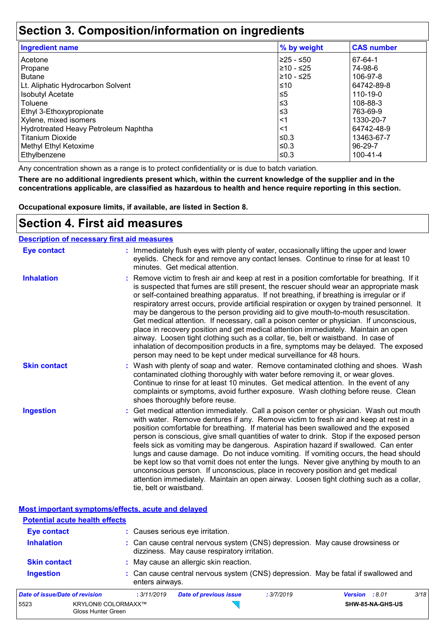## **Section 3. Composition/information on ingredients**

| <b>Ingredient name</b>               | % by weight | <b>CAS number</b> |
|--------------------------------------|-------------|-------------------|
| Acetone                              | l≥25 - ≤50  | 67-64-1           |
| Propane                              | ≥10 - ≤25   | 74-98-6           |
| <b>Butane</b>                        | l≥10 - ≤25  | 106-97-8          |
| Lt. Aliphatic Hydrocarbon Solvent    | $≤10$       | 64742-89-8        |
| <b>Isobutyl Acetate</b>              | $\leq 5$    | 110-19-0          |
| Toluene                              | ≲3          | 108-88-3          |
| Ethyl 3-Ethoxypropionate             | ≤3          | 763-69-9          |
| Xylene, mixed isomers                | <1          | 1330-20-7         |
| Hydrotreated Heavy Petroleum Naphtha | <1          | 64742-48-9        |
| <b>Titanium Dioxide</b>              | ≤0.3        | 13463-67-7        |
| Methyl Ethyl Ketoxime                | ≤0.3        | $96 - 29 - 7$     |
| Ethylbenzene                         | ≤0.3        | $100 - 41 - 4$    |

Any concentration shown as a range is to protect confidentiality or is due to batch variation.

**There are no additional ingredients present which, within the current knowledge of the supplier and in the concentrations applicable, are classified as hazardous to health and hence require reporting in this section.**

**Occupational exposure limits, if available, are listed in Section 8.**

### **Section 4. First aid measures**

| <b>Description of necessary first aid measures</b> |                                                                                                                                                                                                                                                                                                                                                                                                                                                                                                                                                                                                                                                                                                                                                                                                                                                                                                                |
|----------------------------------------------------|----------------------------------------------------------------------------------------------------------------------------------------------------------------------------------------------------------------------------------------------------------------------------------------------------------------------------------------------------------------------------------------------------------------------------------------------------------------------------------------------------------------------------------------------------------------------------------------------------------------------------------------------------------------------------------------------------------------------------------------------------------------------------------------------------------------------------------------------------------------------------------------------------------------|
| <b>Eye contact</b>                                 | : Immediately flush eyes with plenty of water, occasionally lifting the upper and lower<br>eyelids. Check for and remove any contact lenses. Continue to rinse for at least 10<br>minutes. Get medical attention.                                                                                                                                                                                                                                                                                                                                                                                                                                                                                                                                                                                                                                                                                              |
| <b>Inhalation</b>                                  | : Remove victim to fresh air and keep at rest in a position comfortable for breathing. If it<br>is suspected that fumes are still present, the rescuer should wear an appropriate mask<br>or self-contained breathing apparatus. If not breathing, if breathing is irregular or if<br>respiratory arrest occurs, provide artificial respiration or oxygen by trained personnel. It<br>may be dangerous to the person providing aid to give mouth-to-mouth resuscitation.<br>Get medical attention. If necessary, call a poison center or physician. If unconscious,<br>place in recovery position and get medical attention immediately. Maintain an open<br>airway. Loosen tight clothing such as a collar, tie, belt or waistband. In case of<br>inhalation of decomposition products in a fire, symptoms may be delayed. The exposed<br>person may need to be kept under medical surveillance for 48 hours. |
| <b>Skin contact</b>                                | : Wash with plenty of soap and water. Remove contaminated clothing and shoes. Wash<br>contaminated clothing thoroughly with water before removing it, or wear gloves.<br>Continue to rinse for at least 10 minutes. Get medical attention. In the event of any<br>complaints or symptoms, avoid further exposure. Wash clothing before reuse. Clean<br>shoes thoroughly before reuse.                                                                                                                                                                                                                                                                                                                                                                                                                                                                                                                          |
| <b>Ingestion</b>                                   | : Get medical attention immediately. Call a poison center or physician. Wash out mouth<br>with water. Remove dentures if any. Remove victim to fresh air and keep at rest in a<br>position comfortable for breathing. If material has been swallowed and the exposed<br>person is conscious, give small quantities of water to drink. Stop if the exposed person<br>feels sick as vomiting may be dangerous. Aspiration hazard if swallowed. Can enter<br>lungs and cause damage. Do not induce vomiting. If vomiting occurs, the head should<br>be kept low so that vomit does not enter the lungs. Never give anything by mouth to an<br>unconscious person. If unconscious, place in recovery position and get medical<br>attention immediately. Maintain an open airway. Loosen tight clothing such as a collar,<br>tie, belt or waistband.                                                                |

**Most important symptoms/effects, acute and delayed**

| <b>Potential acute health effects</b> |                 |                                                                                                                              |            |                       |      |
|---------------------------------------|-----------------|------------------------------------------------------------------------------------------------------------------------------|------------|-----------------------|------|
| <b>Eye contact</b>                    |                 | : Causes serious eye irritation.                                                                                             |            |                       |      |
| <b>Inhalation</b>                     |                 | : Can cause central nervous system (CNS) depression. May cause drowsiness or<br>dizziness. May cause respiratory irritation. |            |                       |      |
| <b>Skin contact</b>                   |                 | : May cause an allergic skin reaction.                                                                                       |            |                       |      |
| <b>Ingestion</b>                      | enters airways. | : Can cause central nervous system (CNS) depression. May be fatal if swallowed and                                           |            |                       |      |
| Date of issue/Date of revision        | : 3/11/2019     | Date of previous issue                                                                                                       | : 3/7/2019 | <b>Version</b> : 8.01 | 3/18 |

| Date of issue/Date of revision |                                                 | : 3/11/2019 | Date of previous issue | : 3/7/2019 | <b>Version</b> : 8.01 |                  | 3/18 |
|--------------------------------|-------------------------------------------------|-------------|------------------------|------------|-----------------------|------------------|------|
| 5523                           | <b>KRYLON® COLORMAXX™</b><br>Gloss Hunter Green |             |                        |            |                       | SHW-85-NA-GHS-US |      |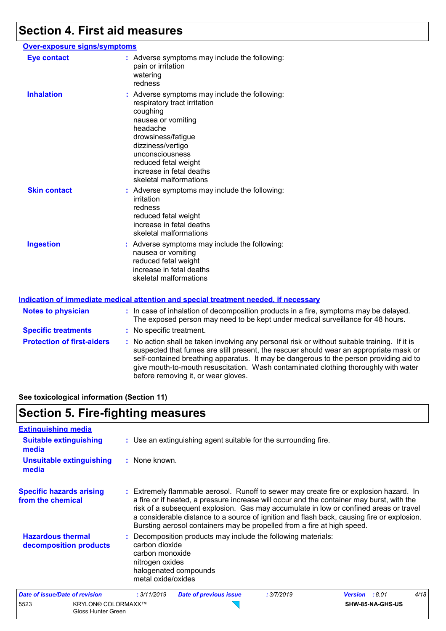### **Section 4. First aid measures**

#### **Over-exposure signs/symptoms Skin contact Ingestion Inhalation Action Contains the Symptoms may include the following:**  $\overline{\phantom{a}}$ respiratory tract irritation coughing nausea or vomiting headache drowsiness/fatigue dizziness/vertigo unconsciousness reduced fetal weight increase in fetal deaths skeletal malformations Adverse symptoms may include the following: **:** nausea or vomiting reduced fetal weight increase in fetal deaths skeletal malformations Adverse symptoms may include the following: **:** irritation redness reduced fetal weight increase in fetal deaths skeletal malformations **Eye contact :** Adverse symptoms may include the following: pain or irritation watering redness

|                                   | <u>Indication of immediate medical attention and special treatment needed, if necessary</u>                                                                                                                                                                                                                                                                                                                     |
|-----------------------------------|-----------------------------------------------------------------------------------------------------------------------------------------------------------------------------------------------------------------------------------------------------------------------------------------------------------------------------------------------------------------------------------------------------------------|
| <b>Notes to physician</b>         | : In case of inhalation of decomposition products in a fire, symptoms may be delayed.<br>The exposed person may need to be kept under medical surveillance for 48 hours.                                                                                                                                                                                                                                        |
| <b>Specific treatments</b>        | : No specific treatment.                                                                                                                                                                                                                                                                                                                                                                                        |
| <b>Protection of first-aiders</b> | : No action shall be taken involving any personal risk or without suitable training. If it is<br>suspected that fumes are still present, the rescuer should wear an appropriate mask or<br>self-contained breathing apparatus. It may be dangerous to the person providing aid to<br>give mouth-to-mouth resuscitation. Wash contaminated clothing thoroughly with water<br>before removing it, or wear gloves. |

**See toxicological information (Section 11)**

Gloss Hunter Green

### **Section 5. Fire-fighting measures**

| <b>Extinguishing media</b>                           |                                                                                                                                                                                                                                                                                                                                                                                                                                                       |
|------------------------------------------------------|-------------------------------------------------------------------------------------------------------------------------------------------------------------------------------------------------------------------------------------------------------------------------------------------------------------------------------------------------------------------------------------------------------------------------------------------------------|
| <b>Suitable extinguishing</b><br>media               | : Use an extinguishing agent suitable for the surrounding fire.                                                                                                                                                                                                                                                                                                                                                                                       |
| <b>Unsuitable extinguishing</b><br>media             | : None known.                                                                                                                                                                                                                                                                                                                                                                                                                                         |
| <b>Specific hazards arising</b><br>from the chemical | : Extremely flammable aerosol. Runoff to sewer may create fire or explosion hazard. In<br>a fire or if heated, a pressure increase will occur and the container may burst, with the<br>risk of a subsequent explosion. Gas may accumulate in low or confined areas or travel<br>a considerable distance to a source of ignition and flash back, causing fire or explosion.<br>Bursting aerosol containers may be propelled from a fire at high speed. |
| <b>Hazardous thermal</b><br>decomposition products   | : Decomposition products may include the following materials:<br>carbon dioxide<br>carbon monoxide<br>nitrogen oxides<br>halogenated compounds<br>metal oxide/oxides                                                                                                                                                                                                                                                                                  |
| <b>Date of issue/Date of revision</b>                | 4/18<br>: 3/11/2019<br>: 3/7/2019<br><b>Date of previous issue</b><br>Version : 8.01                                                                                                                                                                                                                                                                                                                                                                  |
| 5523<br><b>KRYLON® COLORMAXX™</b>                    | SHW-85-NA-GHS-US                                                                                                                                                                                                                                                                                                                                                                                                                                      |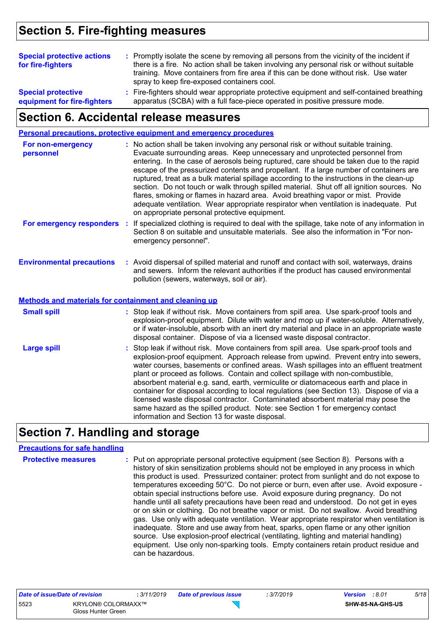# **Section 5. Fire-fighting measures**

| <b>Special protective actions</b><br>for fire-fighters   | : Promptly isolate the scene by removing all persons from the vicinity of the incident if<br>there is a fire. No action shall be taken involving any personal risk or without suitable<br>training. Move containers from fire area if this can be done without risk. Use water<br>spray to keep fire-exposed containers cool. |  |
|----------------------------------------------------------|-------------------------------------------------------------------------------------------------------------------------------------------------------------------------------------------------------------------------------------------------------------------------------------------------------------------------------|--|
| <b>Special protective</b><br>equipment for fire-fighters | : Fire-fighters should wear appropriate protective equipment and self-contained breathing<br>apparatus (SCBA) with a full face-piece operated in positive pressure mode.                                                                                                                                                      |  |

## **Section 6. Accidental release measures**

|                                                                                           | <b>Personal precautions, protective equipment and emergency procedures</b>                                                                                                                                                                                                                                                                                                                                                                                                                                                                                                                                                                                                                                                                                                       |
|-------------------------------------------------------------------------------------------|----------------------------------------------------------------------------------------------------------------------------------------------------------------------------------------------------------------------------------------------------------------------------------------------------------------------------------------------------------------------------------------------------------------------------------------------------------------------------------------------------------------------------------------------------------------------------------------------------------------------------------------------------------------------------------------------------------------------------------------------------------------------------------|
| For non-emergency<br>personnel                                                            | : No action shall be taken involving any personal risk or without suitable training.<br>Evacuate surrounding areas. Keep unnecessary and unprotected personnel from<br>entering. In the case of aerosols being ruptured, care should be taken due to the rapid<br>escape of the pressurized contents and propellant. If a large number of containers are<br>ruptured, treat as a bulk material spillage according to the instructions in the clean-up<br>section. Do not touch or walk through spilled material. Shut off all ignition sources. No<br>flares, smoking or flames in hazard area. Avoid breathing vapor or mist. Provide<br>adequate ventilation. Wear appropriate respirator when ventilation is inadequate. Put<br>on appropriate personal protective equipment. |
| For emergency responders                                                                  | : If specialized clothing is required to deal with the spillage, take note of any information in<br>Section 8 on suitable and unsuitable materials. See also the information in "For non-<br>emergency personnel".                                                                                                                                                                                                                                                                                                                                                                                                                                                                                                                                                               |
| <b>Environmental precautions</b><br>Methods and materials for containment and cleaning up | : Avoid dispersal of spilled material and runoff and contact with soil, waterways, drains<br>and sewers. Inform the relevant authorities if the product has caused environmental<br>pollution (sewers, waterways, soil or air).                                                                                                                                                                                                                                                                                                                                                                                                                                                                                                                                                  |
|                                                                                           |                                                                                                                                                                                                                                                                                                                                                                                                                                                                                                                                                                                                                                                                                                                                                                                  |
| <b>Small spill</b>                                                                        | : Stop leak if without risk. Move containers from spill area. Use spark-proof tools and<br>explosion-proof equipment. Dilute with water and mop up if water-soluble. Alternatively,<br>or if water-insoluble, absorb with an inert dry material and place in an appropriate waste<br>disposal container. Dispose of via a licensed waste disposal contractor.                                                                                                                                                                                                                                                                                                                                                                                                                    |
| <b>Large spill</b>                                                                        | : Stop leak if without risk. Move containers from spill area. Use spark-proof tools and<br>explosion-proof equipment. Approach release from upwind. Prevent entry into sewers,<br>water courses, basements or confined areas. Wash spillages into an effluent treatment<br>plant or proceed as follows. Contain and collect spillage with non-combustible,<br>absorbent material e.g. sand, earth, vermiculite or diatomaceous earth and place in<br>container for disposal according to local regulations (see Section 13). Dispose of via a<br>licensed waste disposal contractor. Contaminated absorbent material may pose the<br>same hazard as the spilled product. Note: see Section 1 for emergency contact<br>information and Section 13 for waste disposal.             |

## **Section 7. Handling and storage**

### **Precautions for safe handling**

| can be hazardous. | <b>Protective measures</b> | : Put on appropriate personal protective equipment (see Section 8). Persons with a<br>history of skin sensitization problems should not be employed in any process in which<br>this product is used. Pressurized container: protect from sunlight and do not expose to<br>temperatures exceeding 50°C. Do not pierce or burn, even after use. Avoid exposure -<br>obtain special instructions before use. Avoid exposure during pregnancy. Do not<br>handle until all safety precautions have been read and understood. Do not get in eyes<br>or on skin or clothing. Do not breathe vapor or mist. Do not swallow. Avoid breathing<br>gas. Use only with adequate ventilation. Wear appropriate respirator when ventilation is<br>inadequate. Store and use away from heat, sparks, open flame or any other ignition<br>source. Use explosion-proof electrical (ventilating, lighting and material handling)<br>equipment. Use only non-sparking tools. Empty containers retain product residue and |
|-------------------|----------------------------|------------------------------------------------------------------------------------------------------------------------------------------------------------------------------------------------------------------------------------------------------------------------------------------------------------------------------------------------------------------------------------------------------------------------------------------------------------------------------------------------------------------------------------------------------------------------------------------------------------------------------------------------------------------------------------------------------------------------------------------------------------------------------------------------------------------------------------------------------------------------------------------------------------------------------------------------------------------------------------------------------|
|-------------------|----------------------------|------------------------------------------------------------------------------------------------------------------------------------------------------------------------------------------------------------------------------------------------------------------------------------------------------------------------------------------------------------------------------------------------------------------------------------------------------------------------------------------------------------------------------------------------------------------------------------------------------------------------------------------------------------------------------------------------------------------------------------------------------------------------------------------------------------------------------------------------------------------------------------------------------------------------------------------------------------------------------------------------------|

| Date of issue/Date of revision |                                                 | : 3/11/2019 | <b>Date of previous issue</b> | : 3/7/2019 | <b>Version</b> : 8.01 |                         | 5/18 |
|--------------------------------|-------------------------------------------------|-------------|-------------------------------|------------|-----------------------|-------------------------|------|
| 5523                           | <b>KRYLON® COLORMAXX™</b><br>Gloss Hunter Green |             |                               |            |                       | <b>SHW-85-NA-GHS-US</b> |      |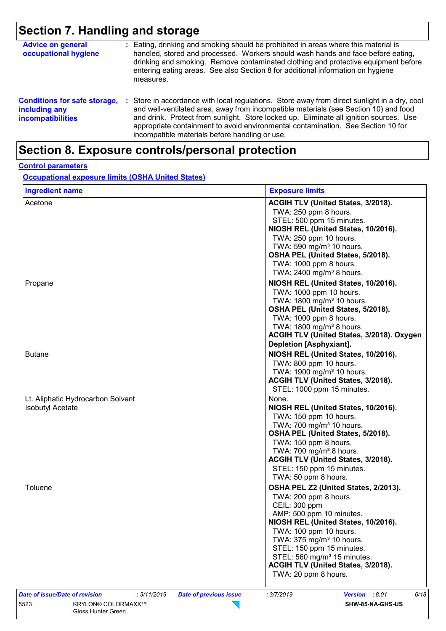# **Section 7. Handling and storage**

| <b>Advice on general</b><br>occupational hygiene                                 |    | : Eating, drinking and smoking should be prohibited in areas where this material is<br>handled, stored and processed. Workers should wash hands and face before eating,<br>drinking and smoking. Remove contaminated clothing and protective equipment before<br>entering eating areas. See also Section 8 for additional information on hygiene<br>measures.                                                      |
|----------------------------------------------------------------------------------|----|--------------------------------------------------------------------------------------------------------------------------------------------------------------------------------------------------------------------------------------------------------------------------------------------------------------------------------------------------------------------------------------------------------------------|
| <b>Conditions for safe storage,</b><br>including any<br><i>incompatibilities</i> | ÷. | Store in accordance with local regulations. Store away from direct sunlight in a dry, cool<br>and well-ventilated area, away from incompatible materials (see Section 10) and food<br>and drink. Protect from sunlight. Store locked up. Eliminate all ignition sources. Use<br>appropriate containment to avoid environmental contamination. See Section 10 for<br>incompatible materials before handling or use. |

## **Section 8. Exposure controls/personal protection**

#### **Control parameters**

**Occupational exposure limits (OSHA United States)**

| <b>Ingredient name</b>                                       | <b>Exposure limits</b>                                                                                                                                                                                                                                                                                                                                    |
|--------------------------------------------------------------|-----------------------------------------------------------------------------------------------------------------------------------------------------------------------------------------------------------------------------------------------------------------------------------------------------------------------------------------------------------|
| Acetone                                                      | ACGIH TLV (United States, 3/2018).<br>TWA: 250 ppm 8 hours.<br>STEL: 500 ppm 15 minutes.<br>NIOSH REL (United States, 10/2016).<br>TWA: 250 ppm 10 hours.<br>TWA: 590 mg/m <sup>3</sup> 10 hours.                                                                                                                                                         |
|                                                              | OSHA PEL (United States, 5/2018).<br>TWA: 1000 ppm 8 hours.<br>TWA: 2400 mg/m <sup>3</sup> 8 hours.                                                                                                                                                                                                                                                       |
| Propane                                                      | NIOSH REL (United States, 10/2016).<br>TWA: 1000 ppm 10 hours.<br>TWA: 1800 mg/m <sup>3</sup> 10 hours.<br>OSHA PEL (United States, 5/2018).<br>TWA: 1000 ppm 8 hours.<br>TWA: 1800 mg/m <sup>3</sup> 8 hours.<br>ACGIH TLV (United States, 3/2018). Oxygen                                                                                               |
| <b>Butane</b>                                                | Depletion [Asphyxiant].<br>NIOSH REL (United States, 10/2016).<br>TWA: 800 ppm 10 hours.<br>TWA: 1900 mg/m <sup>3</sup> 10 hours.<br>ACGIH TLV (United States, 3/2018).<br>STEL: 1000 ppm 15 minutes.                                                                                                                                                     |
| Lt. Aliphatic Hydrocarbon Solvent<br><b>Isobutyl Acetate</b> | None.<br>NIOSH REL (United States, 10/2016).<br>TWA: 150 ppm 10 hours.<br>TWA: 700 mg/m <sup>3</sup> 10 hours.<br>OSHA PEL (United States, 5/2018).<br>TWA: 150 ppm 8 hours.<br>TWA: 700 mg/m <sup>3</sup> 8 hours.<br>ACGIH TLV (United States, 3/2018).<br>STEL: 150 ppm 15 minutes.<br>TWA: 50 ppm 8 hours.                                            |
| Toluene                                                      | OSHA PEL Z2 (United States, 2/2013).<br>TWA: 200 ppm 8 hours.<br>CEIL: 300 ppm<br>AMP: 500 ppm 10 minutes.<br>NIOSH REL (United States, 10/2016).<br>TWA: 100 ppm 10 hours.<br>TWA: 375 mg/m <sup>3</sup> 10 hours.<br>STEL: 150 ppm 15 minutes.<br>STEL: 560 mg/m <sup>3</sup> 15 minutes.<br>ACGIH TLV (United States, 3/2018).<br>TWA: 20 ppm 8 hours. |
| Date of issue/Date of revision<br>: 3/11/2019<br>5523        | <b>Date of previous issue</b><br>: 3/7/2019<br>Version : 8.01<br>6/18                                                                                                                                                                                                                                                                                     |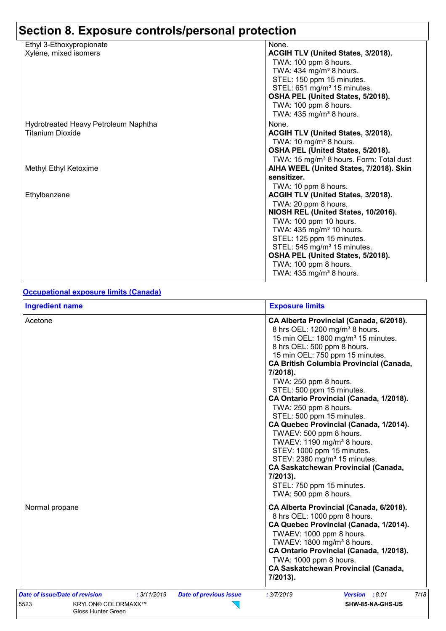| Ethyl 3-Ethoxypropionate             | None.                                               |
|--------------------------------------|-----------------------------------------------------|
| Xylene, mixed isomers                | ACGIH TLV (United States, 3/2018).                  |
|                                      | TWA: 100 ppm 8 hours.                               |
|                                      | TWA: 434 mg/m <sup>3</sup> 8 hours.                 |
|                                      | STEL: 150 ppm 15 minutes.                           |
|                                      | STEL: 651 mg/m <sup>3</sup> 15 minutes.             |
|                                      | OSHA PEL (United States, 5/2018).                   |
|                                      | TWA: 100 ppm 8 hours.                               |
|                                      | TWA: $435$ mg/m <sup>3</sup> 8 hours.               |
| Hydrotreated Heavy Petroleum Naphtha | None.                                               |
| <b>Titanium Dioxide</b>              | ACGIH TLV (United States, 3/2018).                  |
|                                      | TWA: 10 mg/m <sup>3</sup> 8 hours.                  |
|                                      | OSHA PEL (United States, 5/2018).                   |
|                                      | TWA: 15 mg/m <sup>3</sup> 8 hours. Form: Total dust |
| Methyl Ethyl Ketoxime                | AIHA WEEL (United States, 7/2018). Skin             |
|                                      | sensitizer.                                         |
|                                      | TWA: 10 ppm 8 hours.                                |
| Ethylbenzene                         | ACGIH TLV (United States, 3/2018).                  |
|                                      | TWA: 20 ppm 8 hours.                                |
|                                      | NIOSH REL (United States, 10/2016).                 |
|                                      | TWA: 100 ppm 10 hours.                              |
|                                      | TWA: 435 mg/m <sup>3</sup> 10 hours.                |
|                                      | STEL: 125 ppm 15 minutes.                           |
|                                      | STEL: 545 mg/m <sup>3</sup> 15 minutes.             |
|                                      | OSHA PEL (United States, 5/2018).                   |
|                                      | TWA: 100 ppm 8 hours.                               |
|                                      | TWA: $435$ mg/m <sup>3</sup> 8 hours.               |

#### **Occupational exposure limits (Canada)**

| <b>Ingredient name</b>                                                                                                                    | <b>Exposure limits</b>                                                                                                                                                                                                                                                                                                                                                                                                                                                                                                                                                                                                                                                                                                                  |
|-------------------------------------------------------------------------------------------------------------------------------------------|-----------------------------------------------------------------------------------------------------------------------------------------------------------------------------------------------------------------------------------------------------------------------------------------------------------------------------------------------------------------------------------------------------------------------------------------------------------------------------------------------------------------------------------------------------------------------------------------------------------------------------------------------------------------------------------------------------------------------------------------|
| Acetone                                                                                                                                   | CA Alberta Provincial (Canada, 6/2018).<br>8 hrs OEL: 1200 mg/m <sup>3</sup> 8 hours.<br>15 min OEL: 1800 mg/m <sup>3</sup> 15 minutes.<br>8 hrs OEL: 500 ppm 8 hours.<br>15 min OEL: 750 ppm 15 minutes.<br><b>CA British Columbia Provincial (Canada,</b><br>7/2018).<br>TWA: 250 ppm 8 hours.<br>STEL: 500 ppm 15 minutes.<br>CA Ontario Provincial (Canada, 1/2018).<br>TWA: 250 ppm 8 hours.<br>STEL: 500 ppm 15 minutes.<br>CA Quebec Provincial (Canada, 1/2014).<br>TWAEV: 500 ppm 8 hours.<br>TWAEV: 1190 mg/m <sup>3</sup> 8 hours.<br>STEV: 1000 ppm 15 minutes.<br>STEV: 2380 mg/m <sup>3</sup> 15 minutes.<br><b>CA Saskatchewan Provincial (Canada,</b><br>7/2013).<br>STEL: 750 ppm 15 minutes.<br>TWA: 500 ppm 8 hours. |
| Normal propane                                                                                                                            | CA Alberta Provincial (Canada, 6/2018).<br>8 hrs OEL: 1000 ppm 8 hours.<br>CA Quebec Provincial (Canada, 1/2014).<br>TWAEV: 1000 ppm 8 hours.<br>TWAEV: 1800 mg/m <sup>3</sup> 8 hours.<br>CA Ontario Provincial (Canada, 1/2018).<br>TWA: 1000 ppm 8 hours.<br><b>CA Saskatchewan Provincial (Canada,</b><br>7/2013).                                                                                                                                                                                                                                                                                                                                                                                                                  |
| Date of issue/Date of revision<br>: 3/11/2019<br><b>Date of previous issue</b><br>5523<br><b>KRYLON® COLORMAXX™</b><br>Gloss Hunter Green | 7/18<br>: 3/7/2019<br>Version : 8.01<br>SHW-85-NA-GHS-US                                                                                                                                                                                                                                                                                                                                                                                                                                                                                                                                                                                                                                                                                |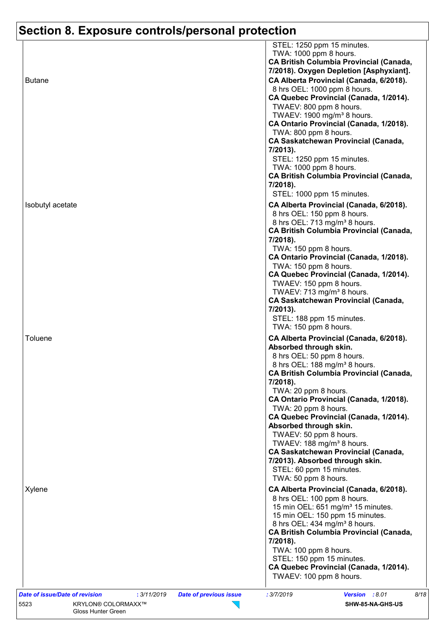| STEL: 1250 ppm 15 minutes.<br>TWA: 1000 ppm 8 hours.<br><b>CA British Columbia Provincial (Canada,</b><br>7/2018). Oxygen Depletion [Asphyxiant].<br>CA Alberta Provincial (Canada, 6/2018).<br>8 hrs OEL: 1000 ppm 8 hours.<br>CA Quebec Provincial (Canada, 1/2014).<br>TWAEV: 800 ppm 8 hours.                                                                                                                                                                                                                                                                                                          |
|------------------------------------------------------------------------------------------------------------------------------------------------------------------------------------------------------------------------------------------------------------------------------------------------------------------------------------------------------------------------------------------------------------------------------------------------------------------------------------------------------------------------------------------------------------------------------------------------------------|
| TWAEV: 1900 mg/m <sup>3</sup> 8 hours.<br>CA Ontario Provincial (Canada, 1/2018).<br>TWA: 800 ppm 8 hours.<br><b>CA Saskatchewan Provincial (Canada,</b><br>7/2013).<br>STEL: 1250 ppm 15 minutes.<br>TWA: 1000 ppm 8 hours.<br><b>CA British Columbia Provincial (Canada,</b><br>7/2018).<br>STEL: 1000 ppm 15 minutes.<br>CA Alberta Provincial (Canada, 6/2018).<br>8 hrs OEL: 150 ppm 8 hours.<br>8 hrs OEL: 713 mg/m <sup>3</sup> 8 hours.<br><b>CA British Columbia Provincial (Canada,</b><br>7/2018).<br>TWA: 150 ppm 8 hours.<br>CA Ontario Provincial (Canada, 1/2018).<br>TWA: 150 ppm 8 hours. |
| CA Quebec Provincial (Canada, 1/2014).<br>TWAEV: 150 ppm 8 hours.<br>TWAEV: 713 mg/m <sup>3</sup> 8 hours.<br><b>CA Saskatchewan Provincial (Canada,</b><br>7/2013).<br>STEL: 188 ppm 15 minutes.<br>TWA: 150 ppm 8 hours.                                                                                                                                                                                                                                                                                                                                                                                 |
| CA Alberta Provincial (Canada, 6/2018).<br>Absorbed through skin.<br>8 hrs OEL: 50 ppm 8 hours.<br>8 hrs OEL: 188 mg/m <sup>3</sup> 8 hours.<br><b>CA British Columbia Provincial (Canada,</b><br>7/2018).<br>TWA: 20 ppm 8 hours.<br>CA Ontario Provincial (Canada, 1/2018).                                                                                                                                                                                                                                                                                                                              |
| TWA: 20 ppm 8 hours.<br>CA Quebec Provincial (Canada, 1/2014).<br>Absorbed through skin.<br>TWAEV: 50 ppm 8 hours.<br>TWAEV: 188 mg/m <sup>3</sup> 8 hours.<br><b>CA Saskatchewan Provincial (Canada,</b><br>7/2013). Absorbed through skin.<br>STEL: 60 ppm 15 minutes.<br>TWA: 50 ppm 8 hours.                                                                                                                                                                                                                                                                                                           |
| CA Alberta Provincial (Canada, 6/2018).<br>8 hrs OEL: 100 ppm 8 hours.<br>15 min OEL: 651 mg/m <sup>3</sup> 15 minutes.<br>15 min OEL: 150 ppm 15 minutes.<br>8 hrs OEL: 434 mg/m <sup>3</sup> 8 hours.<br><b>CA British Columbia Provincial (Canada,</b><br>7/2018).<br>TWA: 100 ppm 8 hours.<br>STEL: 150 ppm 15 minutes.<br>CA Quebec Provincial (Canada, 1/2014).<br>TWAEV: 100 ppm 8 hours.                                                                                                                                                                                                           |
|                                                                                                                                                                                                                                                                                                                                                                                                                                                                                                                                                                                                            |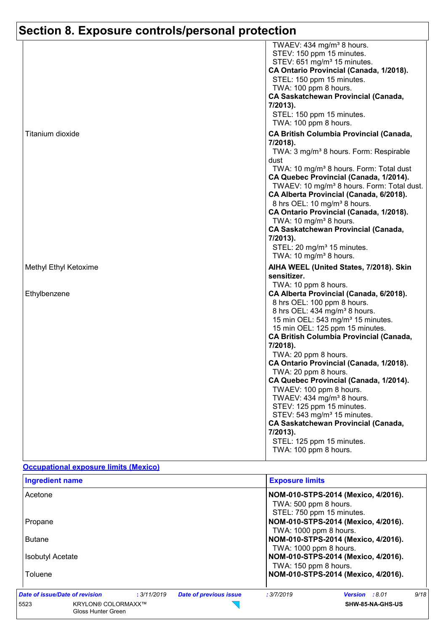|                       | TWAEV: 434 mg/m <sup>3</sup> 8 hours.<br>STEV: 150 ppm 15 minutes.<br>STEV: 651 mg/m <sup>3</sup> 15 minutes.<br>CA Ontario Provincial (Canada, 1/2018).<br>STEL: 150 ppm 15 minutes.<br>TWA: 100 ppm 8 hours.<br><b>CA Saskatchewan Provincial (Canada,</b><br>7/2013).<br>STEL: 150 ppm 15 minutes.<br>TWA: 100 ppm 8 hours.                                                                                                                                                                                                                                                                                                                                         |
|-----------------------|------------------------------------------------------------------------------------------------------------------------------------------------------------------------------------------------------------------------------------------------------------------------------------------------------------------------------------------------------------------------------------------------------------------------------------------------------------------------------------------------------------------------------------------------------------------------------------------------------------------------------------------------------------------------|
| Titanium dioxide      | <b>CA British Columbia Provincial (Canada,</b><br>7/2018).<br>TWA: 3 mg/m <sup>3</sup> 8 hours. Form: Respirable<br>dust<br>TWA: 10 mg/m <sup>3</sup> 8 hours. Form: Total dust<br>CA Quebec Provincial (Canada, 1/2014).<br>TWAEV: 10 mg/m <sup>3</sup> 8 hours. Form: Total dust.<br>CA Alberta Provincial (Canada, 6/2018).<br>8 hrs OEL: 10 mg/m <sup>3</sup> 8 hours.<br>CA Ontario Provincial (Canada, 1/2018).<br>TWA: 10 mg/m <sup>3</sup> 8 hours.<br><b>CA Saskatchewan Provincial (Canada,</b><br>7/2013).<br>STEL: 20 mg/m <sup>3</sup> 15 minutes.<br>TWA: 10 mg/m <sup>3</sup> 8 hours.                                                                  |
| Methyl Ethyl Ketoxime | AIHA WEEL (United States, 7/2018). Skin<br>sensitizer.<br>TWA: 10 ppm 8 hours.                                                                                                                                                                                                                                                                                                                                                                                                                                                                                                                                                                                         |
| Ethylbenzene          | CA Alberta Provincial (Canada, 6/2018).<br>8 hrs OEL: 100 ppm 8 hours.<br>8 hrs OEL: 434 mg/m <sup>3</sup> 8 hours.<br>15 min OEL: 543 mg/m <sup>3</sup> 15 minutes.<br>15 min OEL: 125 ppm 15 minutes.<br><b>CA British Columbia Provincial (Canada,</b><br>7/2018).<br>TWA: 20 ppm 8 hours.<br>CA Ontario Provincial (Canada, 1/2018).<br>TWA: 20 ppm 8 hours.<br>CA Quebec Provincial (Canada, 1/2014).<br>TWAEV: 100 ppm 8 hours.<br>TWAEV: 434 mg/m <sup>3</sup> 8 hours.<br>STEV: 125 ppm 15 minutes.<br>STEV: 543 mg/m <sup>3</sup> 15 minutes.<br><b>CA Saskatchewan Provincial (Canada,</b><br>7/2013).<br>STEL: 125 ppm 15 minutes.<br>TWA: 100 ppm 8 hours. |

#### **Occupational exposure limits (Mexico)**

| <b>Ingredient name</b>                                  |             |                                                                                           | <b>Exposure limits</b>                                                                                                         |                                     |      |                         |
|---------------------------------------------------------|-------------|-------------------------------------------------------------------------------------------|--------------------------------------------------------------------------------------------------------------------------------|-------------------------------------|------|-------------------------|
| Acetone                                                 |             | NOM-010-STPS-2014 (Mexico, 4/2016).<br>TWA: 500 ppm 8 hours.<br>STEL: 750 ppm 15 minutes. |                                                                                                                                |                                     |      |                         |
| Propane<br><b>Butane</b>                                |             |                                                                                           | NOM-010-STPS-2014 (Mexico, 4/2016).<br>TWA: 1000 ppm 8 hours.<br>NOM-010-STPS-2014 (Mexico, 4/2016).<br>TWA: 1000 ppm 8 hours. |                                     |      |                         |
|                                                         |             |                                                                                           |                                                                                                                                |                                     |      | <b>Isobutyl Acetate</b> |
| Toluene                                                 |             |                                                                                           |                                                                                                                                | NOM-010-STPS-2014 (Mexico, 4/2016). |      |                         |
| Date of issue/Date of revision                          | : 3/11/2019 | <b>Date of previous issue</b>                                                             | : 3/7/2019                                                                                                                     | <b>Version :</b> 8.01               | 9/18 |                         |
| <b>KRYLON® COLORMAXX™</b><br>5523<br>Gloss Hunter Green |             |                                                                                           |                                                                                                                                | SHW-85-NA-GHS-US                    |      |                         |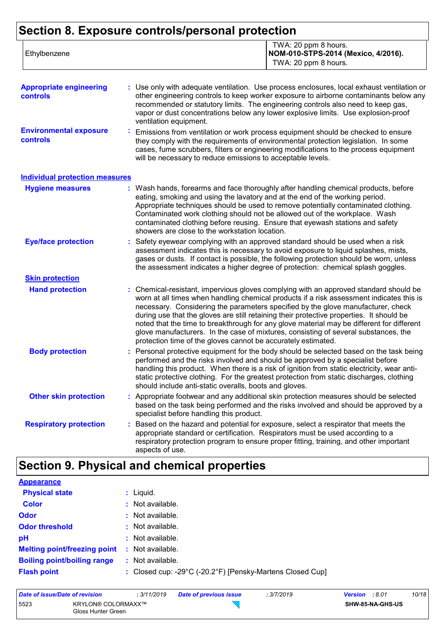| Ethylbenzene | TWA: 20 ppm 8 hours.<br>NOM-010-STPS-2014 (Mexico, 4/2016).<br>TWA: 20 ppm 8 hours. |
|--------------|-------------------------------------------------------------------------------------|
|              |                                                                                     |

| <b>Appropriate engineering</b><br><b>controls</b> | : Use only with adequate ventilation. Use process enclosures, local exhaust ventilation or<br>other engineering controls to keep worker exposure to airborne contaminants below any<br>recommended or statutory limits. The engineering controls also need to keep gas,<br>vapor or dust concentrations below any lower explosive limits. Use explosion-proof<br>ventilation equipment. |
|---------------------------------------------------|-----------------------------------------------------------------------------------------------------------------------------------------------------------------------------------------------------------------------------------------------------------------------------------------------------------------------------------------------------------------------------------------|
| <b>Environmental exposure</b><br><b>controls</b>  | Emissions from ventilation or work process equipment should be checked to ensure<br>they comply with the requirements of environmental protection legislation. In some<br>cases, fume scrubbers, filters or engineering modifications to the process equipment<br>will be necessary to reduce emissions to acceptable levels.                                                           |

#### **Individual protection measures**

| <b>Hygiene measures</b>       | : Wash hands, forearms and face thoroughly after handling chemical products, before<br>eating, smoking and using the lavatory and at the end of the working period.<br>Appropriate techniques should be used to remove potentially contaminated clothing.<br>Contaminated work clothing should not be allowed out of the workplace. Wash<br>contaminated clothing before reusing. Ensure that eyewash stations and safety<br>showers are close to the workstation location.                                                                                                                                            |
|-------------------------------|------------------------------------------------------------------------------------------------------------------------------------------------------------------------------------------------------------------------------------------------------------------------------------------------------------------------------------------------------------------------------------------------------------------------------------------------------------------------------------------------------------------------------------------------------------------------------------------------------------------------|
| <b>Eye/face protection</b>    | : Safety eyewear complying with an approved standard should be used when a risk<br>assessment indicates this is necessary to avoid exposure to liquid splashes, mists,<br>gases or dusts. If contact is possible, the following protection should be worn, unless<br>the assessment indicates a higher degree of protection: chemical splash goggles.                                                                                                                                                                                                                                                                  |
| <b>Skin protection</b>        |                                                                                                                                                                                                                                                                                                                                                                                                                                                                                                                                                                                                                        |
| <b>Hand protection</b>        | : Chemical-resistant, impervious gloves complying with an approved standard should be<br>worn at all times when handling chemical products if a risk assessment indicates this is<br>necessary. Considering the parameters specified by the glove manufacturer, check<br>during use that the gloves are still retaining their protective properties. It should be<br>noted that the time to breakthrough for any glove material may be different for different<br>glove manufacturers. In the case of mixtures, consisting of several substances, the<br>protection time of the gloves cannot be accurately estimated. |
| <b>Body protection</b>        | : Personal protective equipment for the body should be selected based on the task being<br>performed and the risks involved and should be approved by a specialist before<br>handling this product. When there is a risk of ignition from static electricity, wear anti-<br>static protective clothing. For the greatest protection from static discharges, clothing<br>should include anti-static overalls, boots and gloves.                                                                                                                                                                                         |
| <b>Other skin protection</b>  | : Appropriate footwear and any additional skin protection measures should be selected<br>based on the task being performed and the risks involved and should be approved by a<br>specialist before handling this product.                                                                                                                                                                                                                                                                                                                                                                                              |
| <b>Respiratory protection</b> | Based on the hazard and potential for exposure, select a respirator that meets the<br>appropriate standard or certification. Respirators must be used according to a<br>respiratory protection program to ensure proper fitting, training, and other important<br>aspects of use.                                                                                                                                                                                                                                                                                                                                      |

## **Section 9. Physical and chemical properties**

| <b>Appearance</b>                   |    |                                                           |
|-------------------------------------|----|-----------------------------------------------------------|
| <b>Physical state</b>               |    | $:$ Liquid.                                               |
| <b>Color</b>                        |    | : Not available.                                          |
| <b>Odor</b>                         |    | $:$ Not available.                                        |
| <b>Odor threshold</b>               |    | : Not available.                                          |
| pH                                  |    | : Not available.                                          |
| <b>Melting point/freezing point</b> | ÷. | Not available.                                            |
| <b>Boiling point/boiling range</b>  |    | $:$ Not available.                                        |
| <b>Flash point</b>                  |    | : Closed cup: -29°C (-20.2°F) [Pensky-Martens Closed Cup] |
|                                     |    |                                                           |

| Date of issue/Date of revision |                                                 | : 3/11/2019 | <b>Date of previous issue</b> | : 3/7/2019 | <b>Version</b> : 8.01 |                         | 10/18 |
|--------------------------------|-------------------------------------------------|-------------|-------------------------------|------------|-----------------------|-------------------------|-------|
| 5523                           | <b>KRYLON® COLORMAXX™</b><br>Gloss Hunter Green |             |                               |            |                       | <b>SHW-85-NA-GHS-US</b> |       |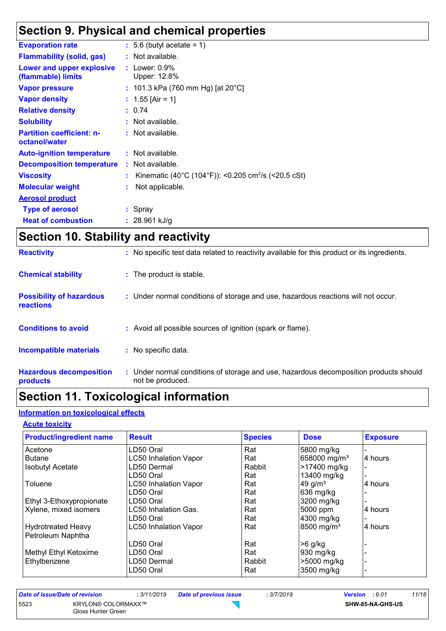## **Section 9. Physical and chemical properties**

| <b>Evaporation rate</b>                           | $: 5.6$ (butyl acetate = 1)                                     |
|---------------------------------------------------|-----------------------------------------------------------------|
| <b>Flammability (solid, gas)</b>                  | : Not available.                                                |
| Lower and upper explosive<br>(flammable) limits   | : Lower: $0.9\%$<br>Upper: 12.8%                                |
| <b>Vapor pressure</b>                             | : 101.3 kPa (760 mm Hg) [at 20°C]                               |
| <b>Vapor density</b>                              | : 1.55 [Air = 1]                                                |
| <b>Relative density</b>                           | : 0.74                                                          |
| <b>Solubility</b>                                 | $:$ Not available.                                              |
| <b>Partition coefficient: n-</b><br>octanol/water | : Not available.                                                |
| <b>Auto-ignition temperature</b>                  | $:$ Not available.                                              |
| <b>Decomposition temperature</b>                  | : Not available.                                                |
| <b>Viscosity</b>                                  | Kinematic (40°C (104°F)): <0.205 cm <sup>2</sup> /s (<20.5 cSt) |
| <b>Molecular weight</b>                           | Not applicable.                                                 |
| <b>Aerosol product</b>                            |                                                                 |
| <b>Type of aerosol</b>                            | : Spray                                                         |
| <b>Heat of combustion</b>                         | : $28.961$ kJ/g                                                 |
|                                                   |                                                                 |

# **Section 10. Stability and reactivity**

| <b>Reactivity</b>                            | : No specific test data related to reactivity available for this product or its ingredients.              |
|----------------------------------------------|-----------------------------------------------------------------------------------------------------------|
| <b>Chemical stability</b>                    | : The product is stable.                                                                                  |
| <b>Possibility of hazardous</b><br>reactions | : Under normal conditions of storage and use, hazardous reactions will not occur.                         |
| <b>Conditions to avoid</b>                   | : Avoid all possible sources of ignition (spark or flame).                                                |
| <b>Incompatible materials</b>                | : No specific data.                                                                                       |
| <b>Hazardous decomposition</b><br>products   | : Under normal conditions of storage and use, hazardous decomposition products should<br>not be produced. |

## **Section 11. Toxicological information**

### **Information on toxicological effects**

#### **Acute toxicity**

| <b>Product/ingredient name</b>                 | <b>Result</b>                | <b>Species</b> | <b>Dose</b>              | <b>Exposure</b> |
|------------------------------------------------|------------------------------|----------------|--------------------------|-----------------|
| Acetone                                        | LD50 Oral                    | Rat            | 5800 mg/kg               |                 |
| <b>Butane</b>                                  | <b>LC50 Inhalation Vapor</b> | Rat            | 658000 mg/m <sup>3</sup> | 4 hours         |
| <b>Isobutyl Acetate</b>                        | LD50 Dermal                  | Rabbit         | >17400 mg/kg             |                 |
|                                                | LD50 Oral                    | Rat            | 13400 mg/kg              |                 |
| Toluene                                        | <b>LC50 Inhalation Vapor</b> | Rat            | 49 g/ $m3$               | 4 hours         |
|                                                | LD50 Oral                    | Rat            | 636 mg/kg                |                 |
| Ethyl 3-Ethoxypropionate                       | LD50 Oral                    | Rat            | 3200 mg/kg               |                 |
| Xylene, mixed isomers                          | LC50 Inhalation Gas.         | Rat            | 5000 ppm                 | 4 hours         |
|                                                | LD50 Oral                    | Rat            | 4300 mg/kg               |                 |
| <b>Hydrotreated Heavy</b><br>Petroleum Naphtha | <b>LC50 Inhalation Vapor</b> | Rat            | 8500 mg/m <sup>3</sup>   | 4 hours         |
|                                                | LD50 Oral                    | Rat            | $>6$ g/kg                |                 |
| <b>Methyl Ethyl Ketoxime</b>                   | LD50 Oral                    | Rat            | 930 mg/kg                |                 |
| Ethylbenzene                                   | LD50 Dermal                  | Rabbit         | >5000 mg/kg              |                 |
|                                                | LD50 Oral                    | Rat            | 3500 mg/kg               |                 |

| Date of issue/Date of revision |                                                 | : 3/11/2019 | <b>Date of previous issue</b> | : 3/7/2019 | <b>Version</b> : 8.01 |                  | 11/18 |
|--------------------------------|-------------------------------------------------|-------------|-------------------------------|------------|-----------------------|------------------|-------|
| 5523                           | <b>KRYLON® COLORMAXX™</b><br>Gloss Hunter Green |             |                               |            |                       | SHW-85-NA-GHS-US |       |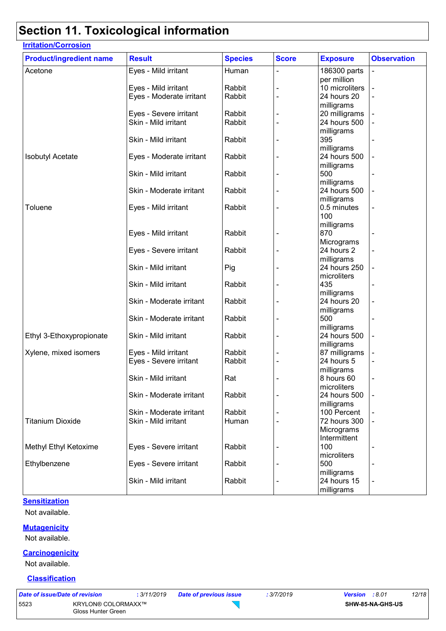# **Section 11. Toxicological information**

| <b>Product/ingredient name</b> | <b>Result</b>            | <b>Species</b> | <b>Score</b> | <b>Exposure</b>             | <b>Observation</b> |
|--------------------------------|--------------------------|----------------|--------------|-----------------------------|--------------------|
| Acetone                        | Eyes - Mild irritant     | Human          |              | 186300 parts<br>per million |                    |
|                                | Eyes - Mild irritant     | Rabbit         |              | 10 microliters              |                    |
|                                |                          | Rabbit         |              |                             |                    |
|                                | Eyes - Moderate irritant |                |              | 24 hours 20                 |                    |
|                                |                          |                |              | milligrams                  |                    |
|                                | Eyes - Severe irritant   | Rabbit         |              | 20 milligrams               |                    |
|                                | Skin - Mild irritant     | Rabbit         |              | 24 hours 500                |                    |
|                                |                          |                |              | milligrams                  |                    |
|                                | Skin - Mild irritant     | Rabbit         |              | 395                         |                    |
|                                |                          |                |              | milligrams                  |                    |
| <b>Isobutyl Acetate</b>        | Eyes - Moderate irritant | Rabbit         |              | 24 hours 500                |                    |
|                                |                          |                |              | milligrams                  |                    |
|                                | Skin - Mild irritant     | Rabbit         |              | 500                         |                    |
|                                |                          |                |              | milligrams                  |                    |
|                                | Skin - Moderate irritant | Rabbit         |              | 24 hours 500                |                    |
|                                |                          |                |              | milligrams                  |                    |
| Toluene                        | Eyes - Mild irritant     | Rabbit         |              | 0.5 minutes                 |                    |
|                                |                          |                |              | 100                         |                    |
|                                |                          |                |              | milligrams                  |                    |
|                                | Eyes - Mild irritant     | Rabbit         |              | 870                         |                    |
|                                |                          |                |              | Micrograms                  |                    |
|                                | Eyes - Severe irritant   | Rabbit         |              | 24 hours 2                  |                    |
|                                |                          |                |              | milligrams                  |                    |
|                                | Skin - Mild irritant     | Pig            |              | 24 hours 250                |                    |
|                                |                          |                |              | microliters                 |                    |
|                                | Skin - Mild irritant     | Rabbit         |              | 435                         |                    |
|                                |                          |                |              | milligrams                  |                    |
|                                | Skin - Moderate irritant | Rabbit         |              | 24 hours 20                 |                    |
|                                |                          |                |              | milligrams                  |                    |
|                                | Skin - Moderate irritant | Rabbit         |              | 500                         |                    |
|                                |                          |                |              | milligrams                  |                    |
| Ethyl 3-Ethoxypropionate       | Skin - Mild irritant     | Rabbit         |              | 24 hours 500                |                    |
|                                |                          |                |              | milligrams                  |                    |
| Xylene, mixed isomers          | Eyes - Mild irritant     | Rabbit         |              | 87 milligrams               |                    |
|                                | Eyes - Severe irritant   | Rabbit         |              | 24 hours 5                  |                    |
|                                |                          |                |              |                             |                    |
|                                |                          |                |              | milligrams                  |                    |
|                                | Skin - Mild irritant     | Rat            |              | 8 hours 60                  |                    |
|                                |                          |                |              | microliters                 |                    |
|                                | Skin - Moderate irritant | Rabbit         |              | 24 hours 500                |                    |
|                                |                          |                |              | milligrams                  |                    |
|                                | Skin - Moderate irritant | Rabbit         |              | 100 Percent                 |                    |
| <b>Titanium Dioxide</b>        | Skin - Mild irritant     | Human          |              | 72 hours 300                |                    |
|                                |                          |                |              | Micrograms                  |                    |
|                                |                          |                |              | Intermittent                |                    |
| Methyl Ethyl Ketoxime          | Eyes - Severe irritant   | Rabbit         |              | 100                         |                    |
|                                |                          |                |              | microliters                 |                    |
| Ethylbenzene                   | Eyes - Severe irritant   | Rabbit         |              | 500                         |                    |
|                                |                          |                |              | milligrams                  |                    |
|                                | Skin - Mild irritant     | Rabbit         |              | 24 hours 15                 |                    |
|                                |                          |                |              | milligrams                  |                    |

#### **Sensitization**

Not available.

#### **Mutagenicity**

Not available.

#### **Carcinogenicity**

Not available.

#### **Classification**

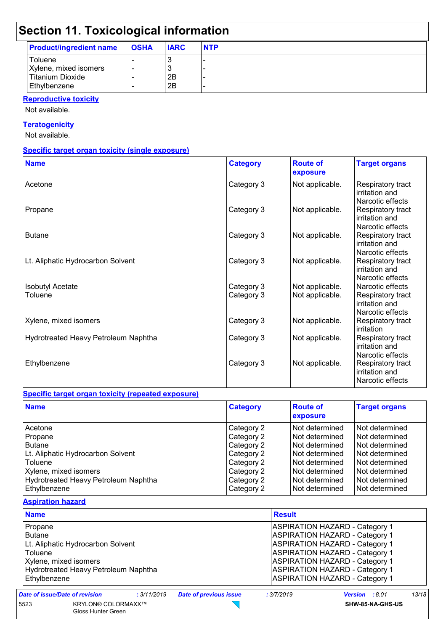## **Section 11. Toxicological information**

| <b>Product/ingredient name</b> | <b>OSHA</b> | <b>IARC</b> | <b>NTP</b> |
|--------------------------------|-------------|-------------|------------|
| <b>Toluene</b>                 |             |             | -          |
| Xylene, mixed isomers          | -           |             | -          |
| Titanium Dioxide               | -           | 2Β          | -          |
| Ethylbenzene                   |             | 2Β          | -          |

#### **Reproductive toxicity**

Not available.

#### **Teratogenicity**

Not available.

#### **Specific target organ toxicity (single exposure)**

| <b>Name</b>                          | <b>Category</b> | <b>Route of</b><br>exposure | <b>Target organs</b>                                    |
|--------------------------------------|-----------------|-----------------------------|---------------------------------------------------------|
| Acetone                              | Category 3      | Not applicable.             | Respiratory tract<br>irritation and<br>Narcotic effects |
| Propane                              | Category 3      | Not applicable.             | Respiratory tract<br>irritation and<br>Narcotic effects |
| <b>Butane</b>                        | Category 3      | Not applicable.             | Respiratory tract<br>irritation and<br>Narcotic effects |
| Lt. Aliphatic Hydrocarbon Solvent    | Category 3      | Not applicable.             | Respiratory tract<br>irritation and<br>Narcotic effects |
| <b>Isobutyl Acetate</b>              | Category 3      | Not applicable.             | Narcotic effects                                        |
| Toluene                              | Category 3      | Not applicable.             | Respiratory tract<br>irritation and<br>Narcotic effects |
| Xylene, mixed isomers                | Category 3      | Not applicable.             | Respiratory tract<br>irritation                         |
| Hydrotreated Heavy Petroleum Naphtha | Category 3      | Not applicable.             | Respiratory tract<br>irritation and<br>Narcotic effects |
| Ethylbenzene                         | Category 3      | Not applicable.             | Respiratory tract<br>irritation and<br>Narcotic effects |

#### **Specific target organ toxicity (repeated exposure)**

Gloss Hunter Green

| <b>Name</b>                          | <b>Category</b> | <b>Route of</b><br>exposure | <b>Target organs</b> |
|--------------------------------------|-----------------|-----------------------------|----------------------|
| Acetone                              | Category 2      | l Not determined            | Not determined       |
| Propane                              | Category 2      | Not determined              | Not determined       |
| <b>Butane</b>                        | Category 2      | Not determined              | Not determined       |
| Lt. Aliphatic Hydrocarbon Solvent    | Category 2      | Not determined              | Not determined       |
| <b>Toluene</b>                       | Category 2      | Not determined              | Not determined       |
| Xylene, mixed isomers                | Category 2      | Not determined              | Not determined       |
| Hydrotreated Heavy Petroleum Naphtha | Category 2      | Not determined              | Not determined       |
| Ethylbenzene                         | Category 2      | Not determined              | Not determined       |

#### **Aspiration hazard**

| <b>Name</b>                                          | <b>Result</b>                         |                                       |                                       |       |  |
|------------------------------------------------------|---------------------------------------|---------------------------------------|---------------------------------------|-------|--|
| Propane                                              | <b>ASPIRATION HAZARD - Category 1</b> |                                       |                                       |       |  |
| <b>Butane</b>                                        |                                       | <b>ASPIRATION HAZARD - Category 1</b> |                                       |       |  |
| Lt. Aliphatic Hydrocarbon Solvent                    |                                       |                                       | <b>ASPIRATION HAZARD - Category 1</b> |       |  |
| Toluene                                              | <b>ASPIRATION HAZARD - Category 1</b> |                                       |                                       |       |  |
| Xylene, mixed isomers                                |                                       |                                       | <b>ASPIRATION HAZARD - Category 1</b> |       |  |
| Hydrotreated Heavy Petroleum Naphtha                 |                                       |                                       | <b>ASPIRATION HAZARD - Category 1</b> |       |  |
| Ethylbenzene                                         |                                       |                                       | <b>ASPIRATION HAZARD - Category 1</b> |       |  |
| <b>Date of issue/Date of revision</b><br>: 3/11/2019 | <b>Date of previous issue</b>         | : 3/7/2019                            | Version : 8.01                        | 13/18 |  |
| 5523<br><b>KRYLON® COLORMAXX™</b>                    |                                       |                                       | SHW-85-NA-GHS-US                      |       |  |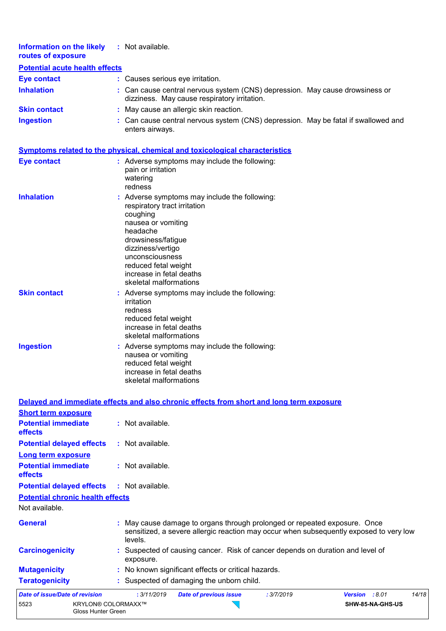| <b>Information on the likely</b><br>routes of exposure  | : Not available.                                                                                                                                                                                                                                                        |
|---------------------------------------------------------|-------------------------------------------------------------------------------------------------------------------------------------------------------------------------------------------------------------------------------------------------------------------------|
| <b>Potential acute health effects</b>                   |                                                                                                                                                                                                                                                                         |
| <b>Eye contact</b>                                      | : Causes serious eye irritation.                                                                                                                                                                                                                                        |
| <b>Inhalation</b>                                       | : Can cause central nervous system (CNS) depression. May cause drowsiness or<br>dizziness. May cause respiratory irritation.                                                                                                                                            |
| <b>Skin contact</b>                                     | : May cause an allergic skin reaction.                                                                                                                                                                                                                                  |
| <b>Ingestion</b>                                        | : Can cause central nervous system (CNS) depression. May be fatal if swallowed and<br>enters airways.                                                                                                                                                                   |
|                                                         | <b>Symptoms related to the physical, chemical and toxicological characteristics</b>                                                                                                                                                                                     |
| <b>Eye contact</b>                                      | : Adverse symptoms may include the following:<br>pain or irritation<br>watering<br>redness                                                                                                                                                                              |
| <b>Inhalation</b>                                       | : Adverse symptoms may include the following:<br>respiratory tract irritation<br>coughing<br>nausea or vomiting<br>headache<br>drowsiness/fatigue<br>dizziness/vertigo<br>unconsciousness<br>reduced fetal weight<br>increase in fetal deaths<br>skeletal malformations |
| <b>Skin contact</b>                                     | : Adverse symptoms may include the following:<br>irritation<br>redness<br>reduced fetal weight<br>increase in fetal deaths<br>skeletal malformations                                                                                                                    |
| <b>Ingestion</b>                                        | : Adverse symptoms may include the following:<br>nausea or vomiting<br>reduced fetal weight<br>increase in fetal deaths<br>skeletal malformations                                                                                                                       |
|                                                         | Delayed and immediate effects and also chronic effects from short and long term exposure                                                                                                                                                                                |
| <b>Short term exposure</b>                              |                                                                                                                                                                                                                                                                         |
| <b>Potential immediate</b><br>effects                   | : Not available.                                                                                                                                                                                                                                                        |
| <b>Potential delayed effects</b>                        | : Not available.                                                                                                                                                                                                                                                        |
| Long term exposure                                      |                                                                                                                                                                                                                                                                         |
| <b>Potential immediate</b><br>effects                   | : Not available.                                                                                                                                                                                                                                                        |
| <b>Potential delayed effects</b>                        | : Not available.                                                                                                                                                                                                                                                        |
| <b>Potential chronic health effects</b>                 |                                                                                                                                                                                                                                                                         |
| Not available.                                          |                                                                                                                                                                                                                                                                         |
| <b>General</b>                                          | : May cause damage to organs through prolonged or repeated exposure. Once<br>sensitized, a severe allergic reaction may occur when subsequently exposed to very low<br>levels.                                                                                          |
| <b>Carcinogenicity</b>                                  | : Suspected of causing cancer. Risk of cancer depends on duration and level of<br>exposure.                                                                                                                                                                             |
| <b>Mutagenicity</b>                                     | : No known significant effects or critical hazards.                                                                                                                                                                                                                     |
| <b>Teratogenicity</b>                                   | : Suspected of damaging the unborn child.                                                                                                                                                                                                                               |
| <b>Date of issue/Date of revision</b>                   | : 3/11/2019<br><b>Date of previous issue</b><br>: 3/7/2019<br>Version : 8.01<br>14/18                                                                                                                                                                                   |
| 5523<br><b>KRYLON® COLORMAXX™</b><br>Gloss Hunter Green | SHW-85-NA-GHS-US                                                                                                                                                                                                                                                        |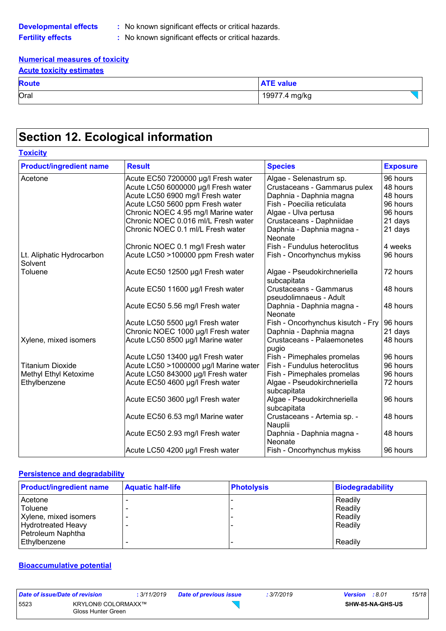**Developmental effects :** No known significant effects or critical hazards.

**Fertility effects :** No known significant effects or critical hazards.

#### **Numerical measures of toxicity Acute toxicity estimates**

| <b>AVULG IVAIVILY GOLILILALGO</b> |                  |  |  |  |  |  |
|-----------------------------------|------------------|--|--|--|--|--|
| <b>Route</b>                      | <b>ATE value</b> |  |  |  |  |  |
| Oral                              | 19977.4 mg/kg    |  |  |  |  |  |
|                                   |                  |  |  |  |  |  |

# **Section 12. Ecological information**

| <b>Toxicity</b>                      |                                       |                                                  |                 |
|--------------------------------------|---------------------------------------|--------------------------------------------------|-----------------|
| <b>Product/ingredient name</b>       | <b>Result</b>                         | <b>Species</b>                                   | <b>Exposure</b> |
| Acetone                              | Acute EC50 7200000 µg/l Fresh water   | Algae - Selenastrum sp.                          | 96 hours        |
|                                      | Acute LC50 6000000 µg/l Fresh water   | Crustaceans - Gammarus pulex                     | 48 hours        |
|                                      | Acute LC50 6900 mg/l Fresh water      | Daphnia - Daphnia magna                          | 48 hours        |
|                                      | Acute LC50 5600 ppm Fresh water       | Fish - Poecilia reticulata                       | 96 hours        |
|                                      | Chronic NOEC 4.95 mg/l Marine water   | Algae - Ulva pertusa                             | 96 hours        |
|                                      | Chronic NOEC 0.016 ml/L Fresh water   | Crustaceans - Daphniidae                         | 21 days         |
|                                      | Chronic NOEC 0.1 ml/L Fresh water     | Daphnia - Daphnia magna -<br>Neonate             | 21 days         |
|                                      | Chronic NOEC 0.1 mg/l Fresh water     | Fish - Fundulus heteroclitus                     | 4 weeks         |
| Lt. Aliphatic Hydrocarbon<br>Solvent | Acute LC50 >100000 ppm Fresh water    | Fish - Oncorhynchus mykiss                       | 96 hours        |
| Toluene                              | Acute EC50 12500 µg/l Fresh water     | Algae - Pseudokirchneriella<br>subcapitata       | 72 hours        |
|                                      | Acute EC50 11600 µg/l Fresh water     | Crustaceans - Gammarus<br>pseudolimnaeus - Adult | 48 hours        |
|                                      | Acute EC50 5.56 mg/l Fresh water      | Daphnia - Daphnia magna -<br>Neonate             | 48 hours        |
|                                      | Acute LC50 5500 µg/l Fresh water      | Fish - Oncorhynchus kisutch - Fry                | 96 hours        |
|                                      | Chronic NOEC 1000 µg/l Fresh water    | Daphnia - Daphnia magna                          | 21 days         |
| Xylene, mixed isomers                | Acute LC50 8500 µg/l Marine water     | Crustaceans - Palaemonetes<br>pugio              | 48 hours        |
|                                      | Acute LC50 13400 µg/l Fresh water     | Fish - Pimephales promelas                       | 96 hours        |
| <b>Titanium Dioxide</b>              | Acute LC50 >1000000 µg/l Marine water | Fish - Fundulus heteroclitus                     | 96 hours        |
| Methyl Ethyl Ketoxime                | Acute LC50 843000 µg/l Fresh water    | Fish - Pimephales promelas                       | 96 hours        |
| Ethylbenzene                         | Acute EC50 4600 µg/l Fresh water      | Algae - Pseudokirchneriella<br>subcapitata       | 72 hours        |
|                                      | Acute EC50 3600 µg/l Fresh water      | Algae - Pseudokirchneriella<br>subcapitata       | 96 hours        |
|                                      | Acute EC50 6.53 mg/l Marine water     | Crustaceans - Artemia sp. -<br>Nauplii           | 48 hours        |
|                                      | Acute EC50 2.93 mg/l Fresh water      | Daphnia - Daphnia magna -<br>Neonate             | 48 hours        |
|                                      | Acute LC50 4200 µg/l Fresh water      | Fish - Oncorhynchus mykiss                       | 96 hours        |

#### **Persistence and degradability**

| <b>Product/ingredient name</b>                 | <b>Aquatic half-life</b> | <b>Photolysis</b> | <b>Biodegradability</b> |
|------------------------------------------------|--------------------------|-------------------|-------------------------|
| Acetone<br><b>Toluene</b>                      |                          |                   | Readily<br>Readily      |
| Xylene, mixed isomers                          |                          |                   | Readily                 |
| <b>Hydrotreated Heavy</b><br>Petroleum Naphtha |                          |                   | Readily                 |
| Ethylbenzene                                   |                          |                   | Readily                 |

#### **Bioaccumulative potential**

| Date of issue/Date of revision |                                                 | : 3/11/2019 | <b>Date of previous issue</b> | : 3/7/2019 | <b>Version</b> : 8.01 |                  | 15/18 |
|--------------------------------|-------------------------------------------------|-------------|-------------------------------|------------|-----------------------|------------------|-------|
| 5523                           | <b>KRYLON® COLORMAXX™</b><br>Gloss Hunter Green |             |                               |            |                       | SHW-85-NA-GHS-US |       |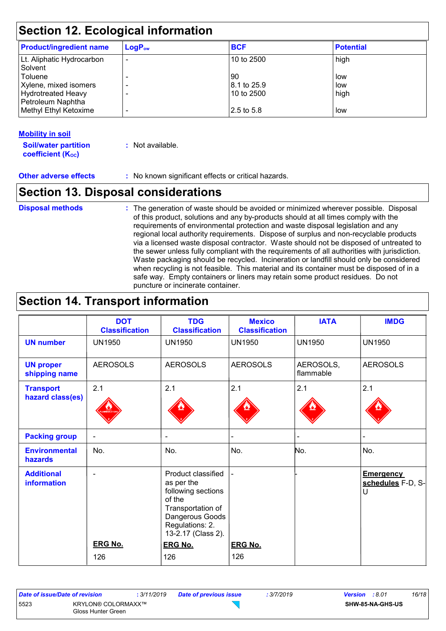| <b>Section 12. Ecological information</b>      |             |             |                  |  |
|------------------------------------------------|-------------|-------------|------------------|--|
| <b>Product/ingredient name</b>                 | $LogP_{ow}$ | <b>BCF</b>  | <b>Potential</b> |  |
| Lt. Aliphatic Hydrocarbon<br>Solvent           |             | 10 to 2500  | high             |  |
| Toluene                                        |             | 90          | low              |  |
| Xylene, mixed isomers                          |             | 8.1 to 25.9 | low              |  |
| <b>Hydrotreated Heavy</b><br>Petroleum Naphtha |             | 10 to 2500  | high             |  |
| Methyl Ethyl Ketoxime                          |             | 2.5 to 5.8  | low              |  |

#### **Mobility in soil**

**Soil/water partition coefficient (KOC) :** Not available.

**Other adverse effects** : No known significant effects or critical hazards.

### **Section 13. Disposal considerations**

#### The generation of waste should be avoided or minimized wherever possible. Disposal of this product, solutions and any by-products should at all times comply with the requirements of environmental protection and waste disposal legislation and any regional local authority requirements. Dispose of surplus and non-recyclable products via a licensed waste disposal contractor. Waste should not be disposed of untreated to the sewer unless fully compliant with the requirements of all authorities with jurisdiction. Waste packaging should be recycled. Incineration or landfill should only be considered when recycling is not feasible. This material and its container must be disposed of in a safe way. Empty containers or liners may retain some product residues. Do not puncture or incinerate container. **Disposal methods :**

### **Section 14. Transport information**

|                                         | <b>DOT</b><br><b>Classification</b> | <b>TDG</b><br><b>Classification</b>                                                                                                               | <b>Mexico</b><br><b>Classification</b> | <b>IATA</b>            | <b>IMDG</b>                                |
|-----------------------------------------|-------------------------------------|---------------------------------------------------------------------------------------------------------------------------------------------------|----------------------------------------|------------------------|--------------------------------------------|
| <b>UN number</b>                        | <b>UN1950</b>                       | <b>UN1950</b>                                                                                                                                     | <b>UN1950</b>                          | <b>UN1950</b>          | <b>UN1950</b>                              |
| <b>UN proper</b><br>shipping name       | <b>AEROSOLS</b>                     | <b>AEROSOLS</b>                                                                                                                                   | <b>AEROSOLS</b>                        | AEROSOLS,<br>flammable | <b>AEROSOLS</b>                            |
| <b>Transport</b><br>hazard class(es)    | 2.1                                 | 2.1                                                                                                                                               | 2.1                                    | 2.1                    | 2.1                                        |
| <b>Packing group</b>                    | $\overline{\phantom{a}}$            | $\overline{\phantom{a}}$                                                                                                                          |                                        |                        | $\overline{\phantom{0}}$                   |
| <b>Environmental</b><br><b>hazards</b>  | No.                                 | No.                                                                                                                                               | No.                                    | No.                    | No.                                        |
| <b>Additional</b><br><b>information</b> | $\overline{\phantom{a}}$            | Product classified<br>as per the<br>following sections<br>of the<br>Transportation of<br>Dangerous Goods<br>Regulations: 2.<br>13-2.17 (Class 2). |                                        |                        | <b>Emergency</b><br>schedules F-D, S-<br>U |
|                                         | <b>ERG No.</b>                      | <b>ERG No.</b>                                                                                                                                    | <b>ERG No.</b>                         |                        |                                            |
|                                         | 126                                 | 126                                                                                                                                               | 126                                    |                        |                                            |

| Date of issue/Date of revision |                                                 | : 3/11/2019 | <b>Date of previous issue</b> | : 3/7/2019 | <b>Version</b> : 8.01 |                  | 16/18 |
|--------------------------------|-------------------------------------------------|-------------|-------------------------------|------------|-----------------------|------------------|-------|
| 5523                           | <b>KRYLON® COLORMAXX™</b><br>Gloss Hunter Green |             |                               |            |                       | SHW-85-NA-GHS-US |       |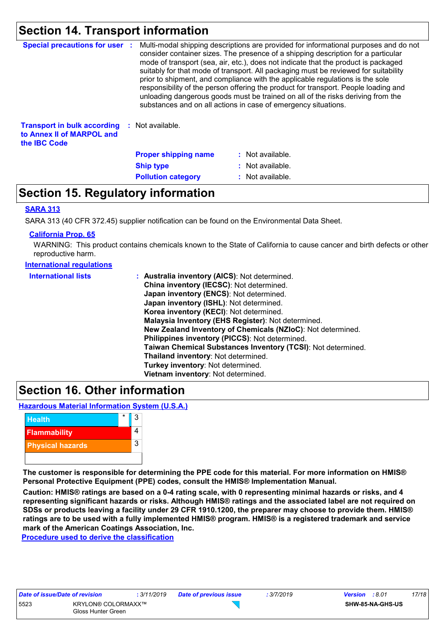### **Section 14. Transport information**

| <b>Special precautions for user :</b>                                                  | Multi-modal shipping descriptions are provided for informational purposes and do not<br>consider container sizes. The presence of a shipping description for a particular<br>mode of transport (sea, air, etc.), does not indicate that the product is packaged<br>suitably for that mode of transport. All packaging must be reviewed for suitability<br>prior to shipment, and compliance with the applicable regulations is the sole<br>responsibility of the person offering the product for transport. People loading and<br>unloading dangerous goods must be trained on all of the risks deriving from the<br>substances and on all actions in case of emergency situations. |                  |  |
|----------------------------------------------------------------------------------------|-------------------------------------------------------------------------------------------------------------------------------------------------------------------------------------------------------------------------------------------------------------------------------------------------------------------------------------------------------------------------------------------------------------------------------------------------------------------------------------------------------------------------------------------------------------------------------------------------------------------------------------------------------------------------------------|------------------|--|
| <b>Transport in bulk according</b><br>to Annex II of MARPOL and<br>the <b>IBC</b> Code | : Not available.                                                                                                                                                                                                                                                                                                                                                                                                                                                                                                                                                                                                                                                                    |                  |  |
|                                                                                        | <b>Proper shipping name</b>                                                                                                                                                                                                                                                                                                                                                                                                                                                                                                                                                                                                                                                         | : Not available. |  |
|                                                                                        | <b>Ship type</b>                                                                                                                                                                                                                                                                                                                                                                                                                                                                                                                                                                                                                                                                    | : Not available. |  |
|                                                                                        | <b>Pollution category</b>                                                                                                                                                                                                                                                                                                                                                                                                                                                                                                                                                                                                                                                           | : Not available. |  |

### **Section 15. Regulatory information**

#### **SARA 313**

SARA 313 (40 CFR 372.45) supplier notification can be found on the Environmental Data Sheet.

#### **California Prop. 65**

WARNING: This product contains chemicals known to the State of California to cause cancer and birth defects or other reproductive harm.

| <b>International regulations</b> |                                                              |
|----------------------------------|--------------------------------------------------------------|
| <b>International lists</b>       | : Australia inventory (AICS): Not determined.                |
|                                  | China inventory (IECSC): Not determined.                     |
|                                  | Japan inventory (ENCS): Not determined.                      |
|                                  | Japan inventory (ISHL): Not determined.                      |
|                                  | Korea inventory (KECI): Not determined.                      |
|                                  | Malaysia Inventory (EHS Register): Not determined.           |
|                                  | New Zealand Inventory of Chemicals (NZIoC): Not determined.  |
|                                  | Philippines inventory (PICCS): Not determined.               |
|                                  | Taiwan Chemical Substances Inventory (TCSI): Not determined. |
|                                  | Thailand inventory: Not determined.                          |
|                                  | Turkey inventory: Not determined.                            |
|                                  | Vietnam inventory: Not determined.                           |

### **Section 16. Other information**

**Hazardous Material Information System (U.S.A.)**



**The customer is responsible for determining the PPE code for this material. For more information on HMIS® Personal Protective Equipment (PPE) codes, consult the HMIS® Implementation Manual.**

**Caution: HMIS® ratings are based on a 0-4 rating scale, with 0 representing minimal hazards or risks, and 4 representing significant hazards or risks. Although HMIS® ratings and the associated label are not required on SDSs or products leaving a facility under 29 CFR 1910.1200, the preparer may choose to provide them. HMIS® ratings are to be used with a fully implemented HMIS® program. HMIS® is a registered trademark and service mark of the American Coatings Association, Inc.**

 $\overline{\mathcal{L}}$ 

**Procedure used to derive the classification**

| Date of issue/Date of revision |                                                 | : 3/11/2019 | Date |
|--------------------------------|-------------------------------------------------|-------------|------|
| 5523                           | <b>KRYLON® COLORMAXX™</b><br>Gloss Hunter Green |             |      |